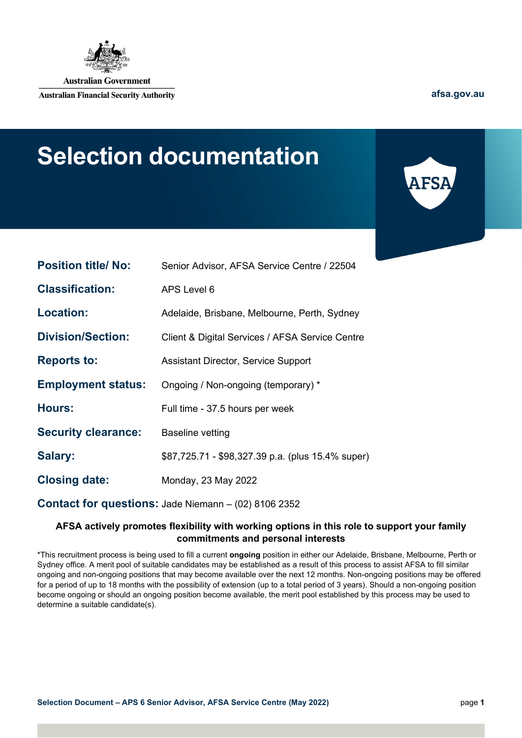

**Australian Government** 

**Australian Financial Security Authority** 

**[afsa.gov.au](http://www.afsa.gov.au/)**

# **Selection documentation**



| <b>Position title/ No:</b> | Senior Advisor, AFSA Service Centre / 22504                 |
|----------------------------|-------------------------------------------------------------|
| <b>Classification:</b>     | APS Level 6                                                 |
| <b>Location:</b>           | Adelaide, Brisbane, Melbourne, Perth, Sydney                |
| <b>Division/Section:</b>   | Client & Digital Services / AFSA Service Centre             |
| <b>Reports to:</b>         | <b>Assistant Director, Service Support</b>                  |
| <b>Employment status:</b>  | Ongoing / Non-ongoing (temporary) *                         |
| <b>Hours:</b>              | Full time - 37.5 hours per week                             |
| <b>Security clearance:</b> | <b>Baseline vetting</b>                                     |
| <b>Salary:</b>             | \$87,725.71 - \$98,327.39 p.a. (plus 15.4% super)           |
| <b>Closing date:</b>       | Monday, 23 May 2022                                         |
|                            | <b>Contact for questions: Jade Niemann - (02) 8106 2352</b> |

#### **AFSA actively promotes flexibility with working options in this role to support your family commitments and personal interests**

\*This recruitment process is being used to fill a current **ongoing** position in either our Adelaide, Brisbane, Melbourne, Perth or Sydney office. A merit pool of suitable candidates may be established as a result of this process to assist AFSA to fill similar ongoing and non-ongoing positions that may become available over the next 12 months. Non-ongoing positions may be offered for a period of up to 18 months with the possibility of extension (up to a total period of 3 years). Should a non-ongoing position become ongoing or should an ongoing position become available, the merit pool established by this process may be used to determine a suitable candidate(s).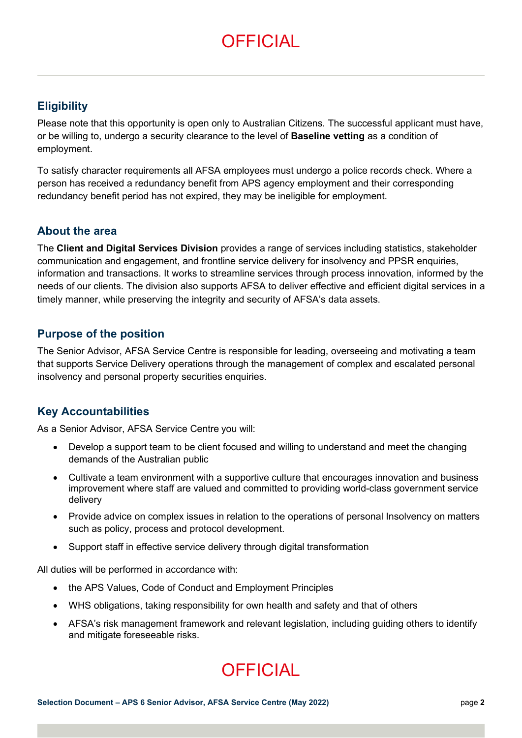# **OFFICIAL**

## **Eligibility**

Please note that this opportunity is open only to Australian Citizens. The successful applicant must have, or be willing to, undergo a security clearance to the level of **Baseline vetting** as a condition of employment.

To satisfy character requirements all AFSA employees must undergo a police records check. Where a person has received a redundancy benefit from APS agency employment and their corresponding redundancy benefit period has not expired, they may be ineligible for employment.

### **About the area**

The **Client and Digital Services Division** provides a range of services including statistics, stakeholder communication and engagement, and frontline service delivery for insolvency and PPSR enquiries, information and transactions. It works to streamline services through process innovation, informed by the needs of our clients. The division also supports AFSA to deliver effective and efficient digital services in a timely manner, while preserving the integrity and security of AFSA's data assets.

### **Purpose of the position**

The Senior Advisor, AFSA Service Centre is responsible for leading, overseeing and motivating a team that supports Service Delivery operations through the management of complex and escalated personal insolvency and personal property securities enquiries.

# **Key Accountabilities**

As a Senior Advisor, AFSA Service Centre you will:

- Develop a support team to be client focused and willing to understand and meet the changing demands of the Australian public
- Cultivate a team environment with a supportive culture that encourages innovation and business improvement where staff are valued and committed to providing world-class government service delivery
- Provide advice on complex issues in relation to the operations of personal Insolvency on matters such as policy, process and protocol development.
- Support staff in effective service delivery through digital transformation

All duties will be performed in accordance with:

- the APS Values, Code of Conduct and Employment Principles
- WHS obligations, taking responsibility for own health and safety and that of others
- AFSA's risk management framework and relevant legislation, including guiding others to identify and mitigate foreseeable risks.

# **OFFICIAL**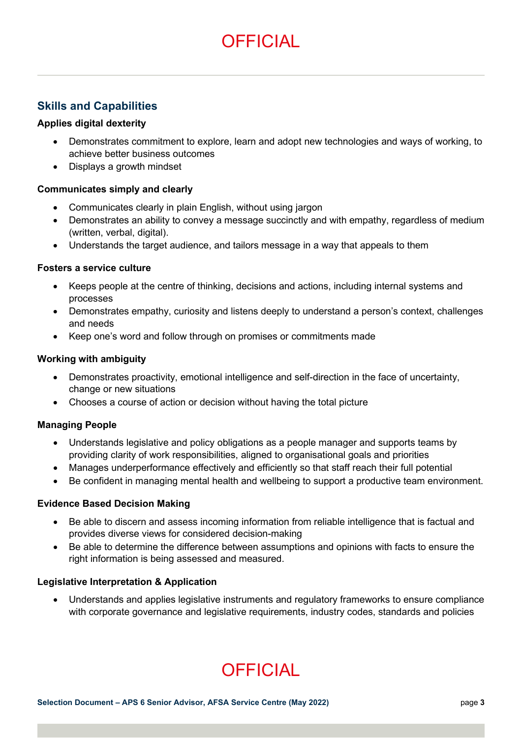# **OFFICIAL**

# **Skills and Capabilities**

#### **Applies digital dexterity**

- Demonstrates commitment to explore, learn and adopt new technologies and ways of working, to achieve better business outcomes
- Displays a growth mindset

#### **Communicates simply and clearly**

- Communicates clearly in plain English, without using jargon
- Demonstrates an ability to convey a message succinctly and with empathy, regardless of medium (written, verbal, digital).
- Understands the target audience, and tailors message in a way that appeals to them

#### **Fosters a service culture**

- Keeps people at the centre of thinking, decisions and actions, including internal systems and processes
- Demonstrates empathy, curiosity and listens deeply to understand a person's context, challenges and needs
- Keep one's word and follow through on promises or commitments made

#### **Working with ambiguity**

- Demonstrates proactivity, emotional intelligence and self-direction in the face of uncertainty, change or new situations
- Chooses a course of action or decision without having the total picture

#### **Managing People**

- Understands legislative and policy obligations as a people manager and supports teams by providing clarity of work responsibilities, aligned to organisational goals and priorities
- Manages underperformance effectively and efficiently so that staff reach their full potential
- Be confident in managing mental health and wellbeing to support a productive team environment.

#### **Evidence Based Decision Making**

- Be able to discern and assess incoming information from reliable intelligence that is factual and provides diverse views for considered decision-making
- Be able to determine the difference between assumptions and opinions with facts to ensure the right information is being assessed and measured.

#### **Legislative Interpretation & Application**

• Understands and applies legislative instruments and regulatory frameworks to ensure compliance with corporate governance and legislative requirements, industry codes, standards and policies